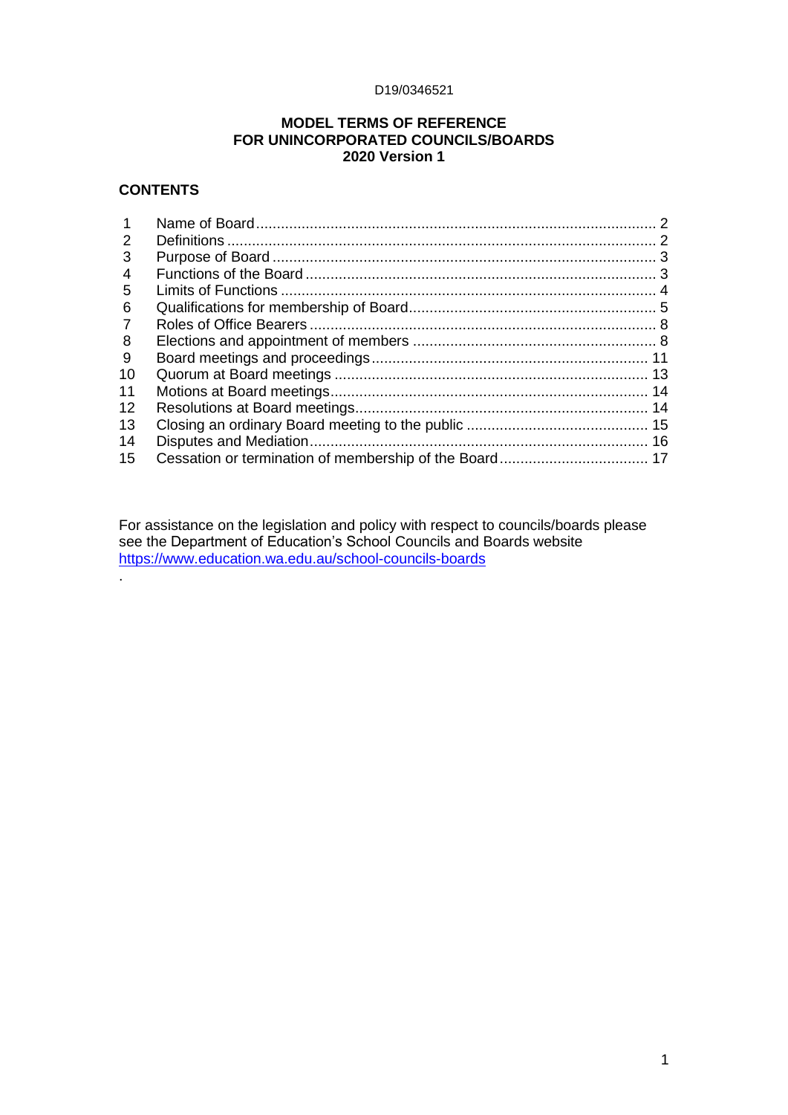#### D19/0346521

### **MODEL TERMS OF REFERENCE FOR UNINCORPORATED COUNCILS/BOARDS 2020 Version 1**

### **CONTENTS**

.

| 2  |    |
|----|----|
| 3  |    |
| 4  |    |
| 5  |    |
| 6  |    |
| 7  |    |
| 8  |    |
| -9 |    |
| 10 |    |
| 11 |    |
| 12 | 14 |
| 13 |    |
| 14 |    |
| 15 |    |
|    |    |

For assistance on the legislation and policy with respect to councils/boards please see the Department of Education's School Councils and Boards website <https://www.education.wa.edu.au/school-councils-boards>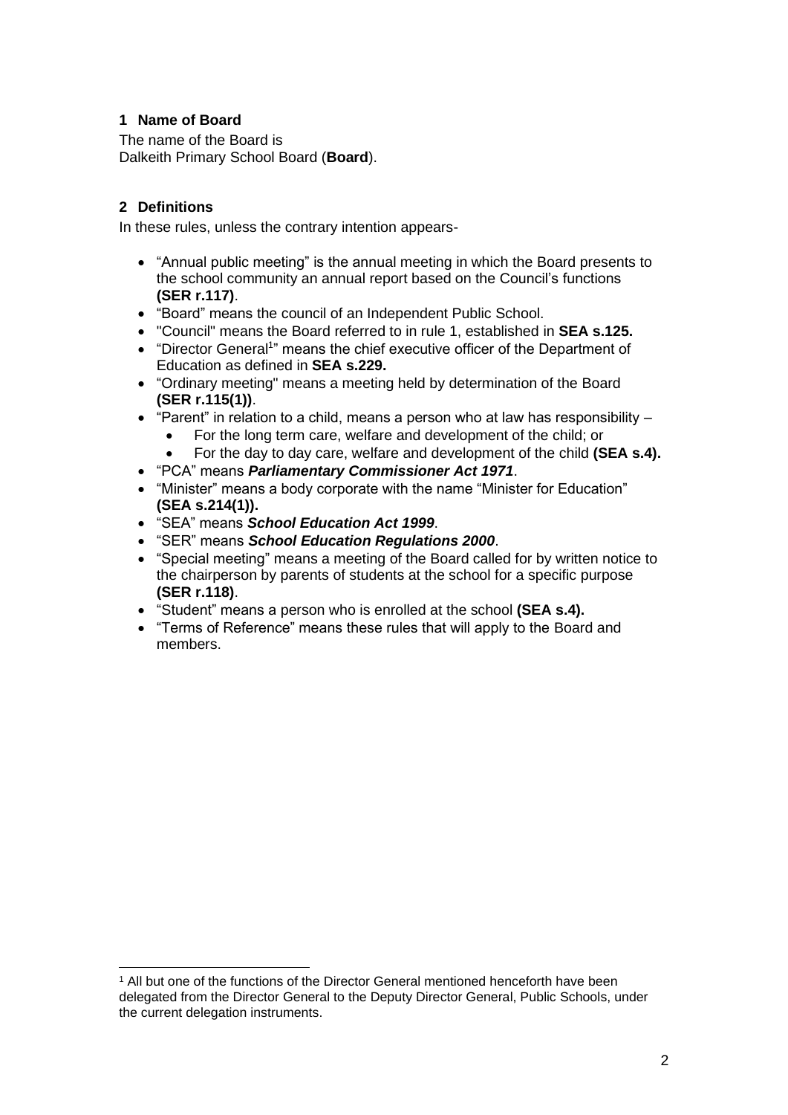## <span id="page-1-0"></span>**1 Name of Board**

The name of the Board is Dalkeith Primary School Board (**Board**).

## <span id="page-1-1"></span>**2 Definitions**

In these rules, unless the contrary intention appears-

- "Annual public meeting" is the annual meeting in which the Board presents to the school community an annual report based on the Council's functions **(SER r.117)**.
- "Board" means the council of an Independent Public School.
- "Council" means the Board referred to in rule 1, established in **SEA s.125.**
- "Director General<sup>1</sup>" means the chief executive officer of the Department of Education as defined in **SEA s.229.**
- "Ordinary meeting" means a meeting held by determination of the Board **(SER r.115(1))**.
- "Parent" in relation to a child, means a person who at law has responsibility
	- For the long term care, welfare and development of the child; or
	- For the day to day care, welfare and development of the child **(SEA s.4).**
- "PCA" means *Parliamentary Commissioner Act 1971*.
- "Minister" means a body corporate with the name "Minister for Education" **(SEA s.214(1)).**
- "SEA" means *School Education Act 1999*.
- "SER" means *School Education Regulations 2000*.
- "Special meeting" means a meeting of the Board called for by written notice to the chairperson by parents of students at the school for a specific purpose **(SER r.118)**.
- "Student" means a person who is enrolled at the school **(SEA s.4).**
- <span id="page-1-2"></span>• "Terms of Reference" means these rules that will apply to the Board and members.

<sup>1</sup> All but one of the functions of the Director General mentioned henceforth have been delegated from the Director General to the Deputy Director General, Public Schools, under the current delegation instruments.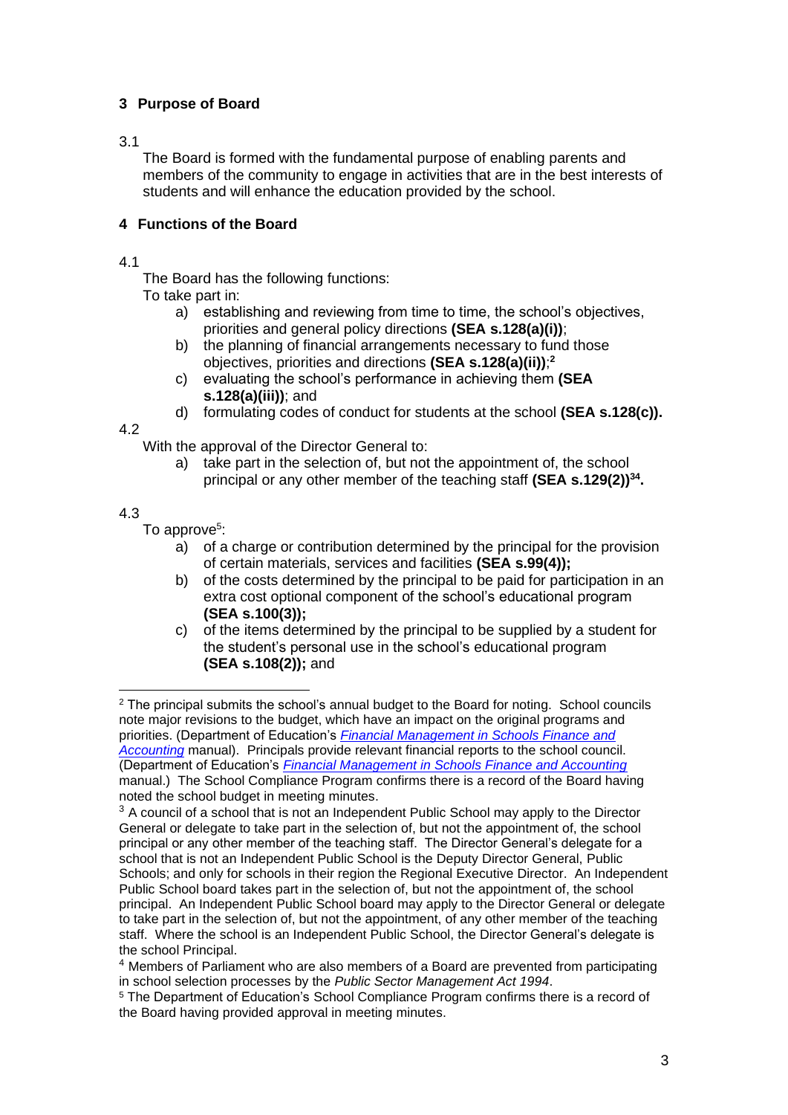# **3 Purpose of Board**

### 3.1

The Board is formed with the fundamental purpose of enabling parents and members of the community to engage in activities that are in the best interests of students and will enhance the education provided by the school.

## **4 Functions of the Board**

### 4.1

The Board has the following functions:

To take part in:

- <span id="page-2-0"></span>a) establishing and reviewing from time to time, the school's objectives, priorities and general policy directions **(SEA s.128(a)(i))**;
- b) the planning of financial arrangements necessary to fund those objectives, priorities and directions **(SEA s.128(a)(ii))**; **2**
- c) evaluating the school's performance in achieving them **(SEA s.128(a)(iii))**; and
- d) formulating codes of conduct for students at the school **(SEA s.128(c)).**

4.2

With the approval of the Director General to:

a) take part in the selection of, but not the appointment of, the school principal or any other member of the teaching staff **(SEA s.129(2))<sup>34</sup> .**

## 4.3

To approve<sup>5</sup>:

- a) of a charge or contribution determined by the principal for the provision of certain materials, services and facilities **(SEA s.99(4));**
- b) of the costs determined by the principal to be paid for participation in an extra cost optional component of the school's educational program **(SEA s.100(3));**
- c) of the items determined by the principal to be supplied by a student for the student's personal use in the school's educational program **(SEA s.108(2));** and

<sup>&</sup>lt;sup>2</sup> The principal submits the school's annual budget to the Board for noting. School councils note major revisions to the budget, which have an impact on the original programs and priorities. (Department of Education's *[Financial Management in Schools Finance and](https://ikon.education.wa.edu.au/-/finance-and-accounting-manual-1)  [Accounting](https://ikon.education.wa.edu.au/-/finance-and-accounting-manual-1)* manual). Principals provide relevant financial reports to the school council. (Department of Education's *[Financial Management in Schools Finance and Accounting](https://ikon.education.wa.edu.au/-/finance-and-accounting-manual-1)* manual.) The School Compliance Program confirms there is a record of the Board having noted the school budget in meeting minutes.

 $3$  A council of a school that is not an Independent Public School may apply to the Director General or delegate to take part in the selection of, but not the appointment of, the school principal or any other member of the teaching staff. The Director General's delegate for a school that is not an Independent Public School is the Deputy Director General, Public Schools; and only for schools in their region the Regional Executive Director. An Independent Public School board takes part in the selection of, but not the appointment of, the school principal. An Independent Public School board may apply to the Director General or delegate to take part in the selection of, but not the appointment, of any other member of the teaching staff. Where the school is an Independent Public School, the Director General's delegate is the school Principal.

<sup>4</sup> Members of Parliament who are also members of a Board are prevented from participating in school selection processes by the *Public Sector Management Act 1994*.

<sup>5</sup> The Department of Education's School Compliance Program confirms there is a record of the Board having provided approval in meeting minutes.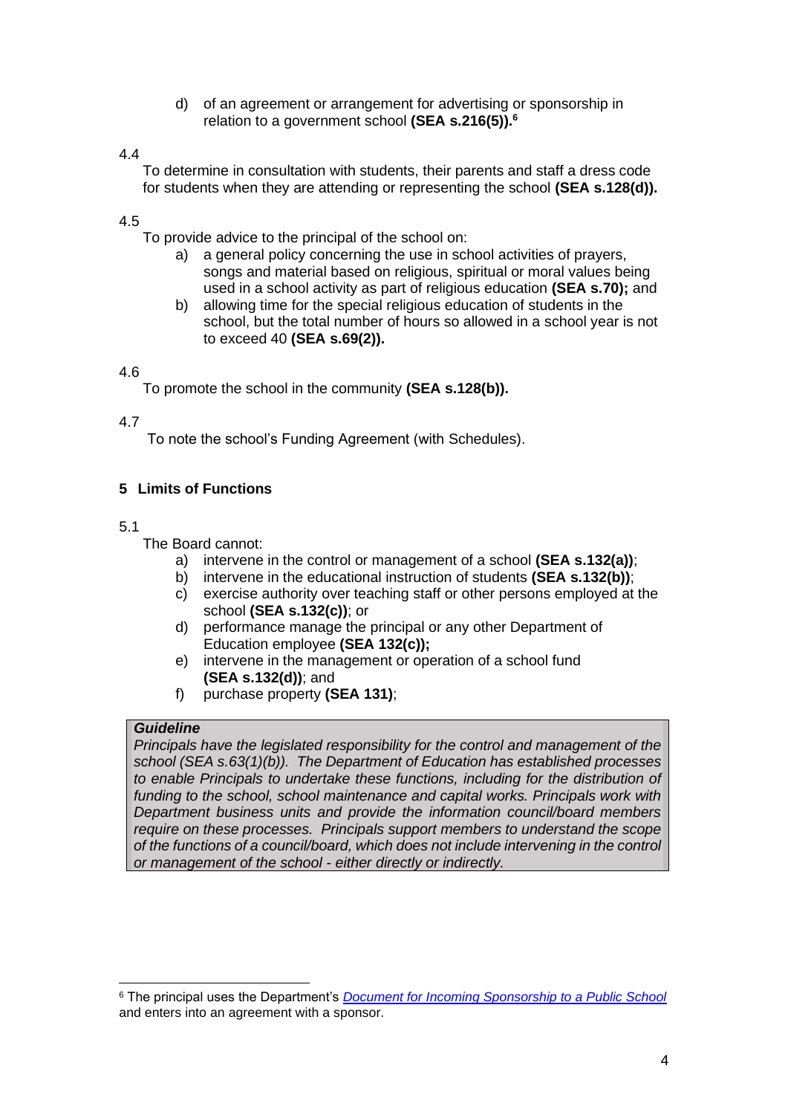d) of an agreement or arrangement for advertising or sponsorship in relation to a government school **(SEA s.216(5)).<sup>6</sup>**

### 4.4

To determine in consultation with students, their parents and staff a dress code for students when they are attending or representing the school **(SEA s.128(d)).**

### 4.5

To provide advice to the principal of the school on:

- a) a general policy concerning the use in school activities of prayers, songs and material based on religious, spiritual or moral values being used in a school activity as part of religious education **(SEA s.70);** and
- b) allowing time for the special religious education of students in the school, but the total number of hours so allowed in a school year is not to exceed 40 **(SEA s.69(2)).**

### 4.6

To promote the school in the community **(SEA s.128(b)).**

### 4.7

To note the school's Funding Agreement (with Schedules).

# <span id="page-3-0"></span>**5 Limits of Functions**

### 5.1

The Board cannot:

- a) intervene in the control or management of a school **(SEA s.132(a))**;
- b) intervene in the educational instruction of students **(SEA s.132(b))**;
- c) exercise authority over teaching staff or other persons employed at the school **(SEA s.132(c))**; or
- d) performance manage the principal or any other Department of Education employee **(SEA 132(c));**
- e) intervene in the management or operation of a school fund **(SEA s.132(d))**; and
- f) purchase property **(SEA 131)**;

### *Guideline*

*Principals have the legislated responsibility for the control and management of the school (SEA s.63(1)(b)). The Department of Education has established processes to enable Principals to undertake these functions, including for the distribution of funding to the school, school maintenance and capital works. Principals work with Department business units and provide the information council/board members require on these processes. Principals support members to understand the scope of the functions of a council/board, which does not include intervening in the control or management of the school - either directly or indirectly.* 

<sup>6</sup> The principal uses the Department's *[Document for Incoming Sponsorship to a Public School](http://det.wa.edu.au/policies/detcms/policy-planning-and-accountability/policies-framework/guidelines/document-for-incoming-sponsorship-to-a-public-school-.en?cat-id=3457970)* and enters into an agreement with a sponsor.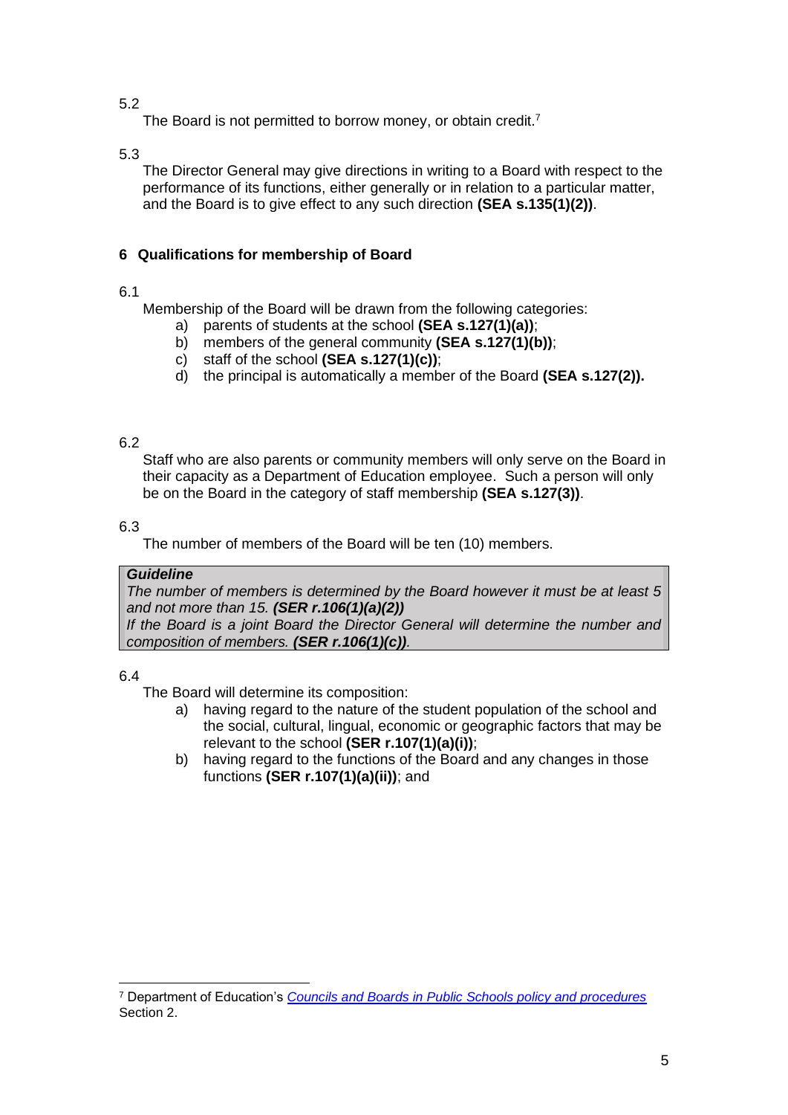The Board is not permitted to borrow money, or obtain credit.<sup>7</sup>

5.3

The Director General may give directions in writing to a Board with respect to the performance of its functions, either generally or in relation to a particular matter, and the Board is to give effect to any such direction **(SEA s.135(1)(2))**.

## <span id="page-4-0"></span>**6 Qualifications for membership of Board**

## 6.1

Membership of the Board will be drawn from the following categories:

- a) parents of students at the school **(SEA s.127(1)(a))**;
- b) members of the general community **(SEA s.127(1)(b))**;
- c) staff of the school **(SEA s.127(1)(c))**;
- d) the principal is automatically a member of the Board **(SEA s.127(2)).**

# 6.2

Staff who are also parents or community members will only serve on the Board in their capacity as a Department of Education employee. Such a person will only be on the Board in the category of staff membership **(SEA s.127(3))**.

## 6.3

The number of members of the Board will be ten (10) members.

## *Guideline*

*The number of members is determined by the Board however it must be at least 5 and not more than 15. (SER r.106(1)(a)(2))*

*If the Board is a joint Board the Director General will determine the number and composition of members. (SER r.106(1)(c)).*

## 6.4

The Board will determine its composition:

- a) having regard to the nature of the student population of the school and the social, cultural, lingual, economic or geographic factors that may be relevant to the school **(SER r.107(1)(a)(i))**;
- b) having regard to the functions of the Board and any changes in those functions **(SER r.107(1)(a)(ii))**; and

<sup>7</sup> Department of Education's *[Councils and Boards in Public Schools policy and procedures](http://det.wa.edu.au/policies/detcms/policy-planning-and-accountability/policies-framework/policies/councils-and-boards-policy.en?cat-id=3458015)* Section 2.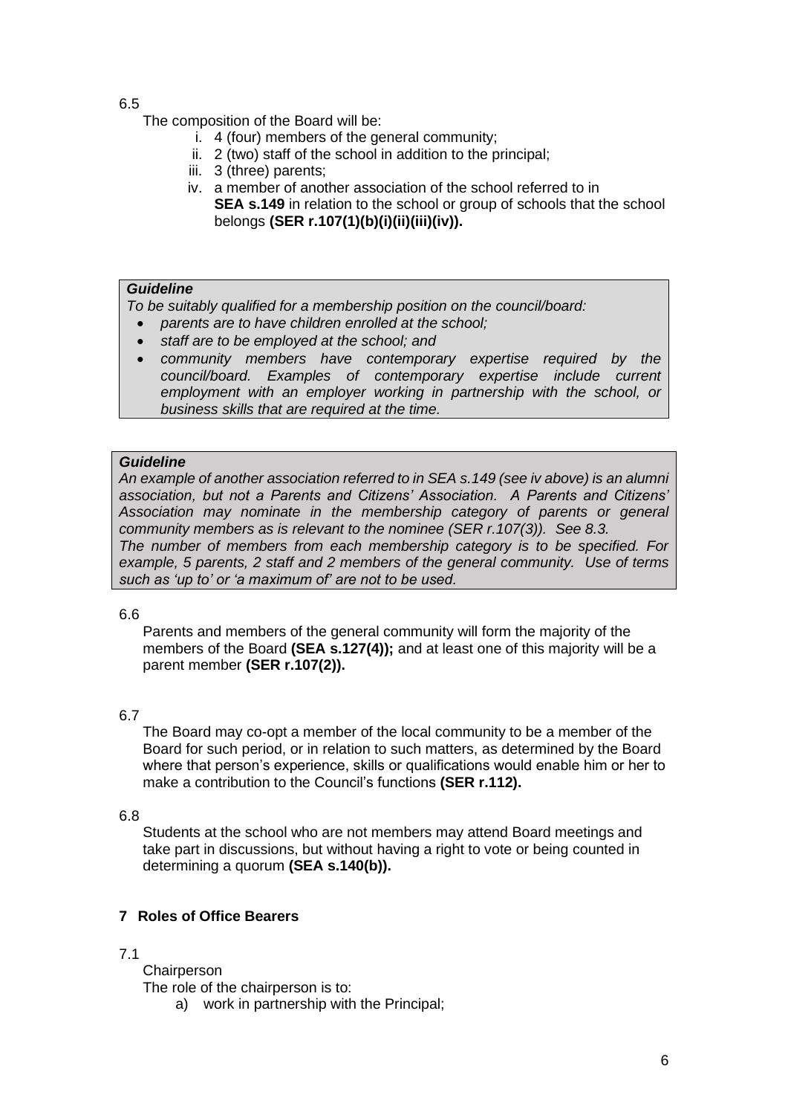The composition of the Board will be:

- i. 4 (four) members of the general community;
- ii. 2 (two) staff of the school in addition to the principal;
- iii. 3 (three) parents;
- iv. a member of another association of the school referred to in **SEA s.149** in relation to the school or group of schools that the school belongs **(SER r.107(1)(b)(i)(ii)(iii)(iv)).**

### *Guideline*

*To be suitably qualified for a membership position on the council/board:*

- *parents are to have children enrolled at the school;*
- *staff are to be employed at the school; and*
- *community members have contemporary expertise required by the council/board. Examples of contemporary expertise include current employment with an employer working in partnership with the school, or business skills that are required at the time.*

### *Guideline*

*An example of another association referred to in SEA s.149 (see iv above) is an alumni association, but not a Parents and Citizens' Association. A Parents and Citizens' Association may nominate in the membership category of parents or general community members as is relevant to the nominee (SER r.107(3)). See 8.3. The number of members from each membership category is to be specified. For example, 5 parents, 2 staff and 2 members of the general community. Use of terms such as 'up to' or 'a maximum of' are not to be used.*

### 6.6

Parents and members of the general community will form the majority of the members of the Board **(SEA s.127(4));** and at least one of this majority will be a parent member **(SER r.107(2)).**

### 6.7

The Board may co-opt a member of the local community to be a member of the Board for such period, or in relation to such matters, as determined by the Board where that person's experience, skills or qualifications would enable him or her to make a contribution to the Council's functions **(SER r.112).**

### 6.8

Students at the school who are not members may attend Board meetings and take part in discussions, but without having a right to vote or being counted in determining a quorum **(SEA s.140(b)).**

## <span id="page-5-0"></span>**7 Roles of Office Bearers**

## 7.1

**Chairperson** 

The role of the chairperson is to:

a) work in partnership with the Principal;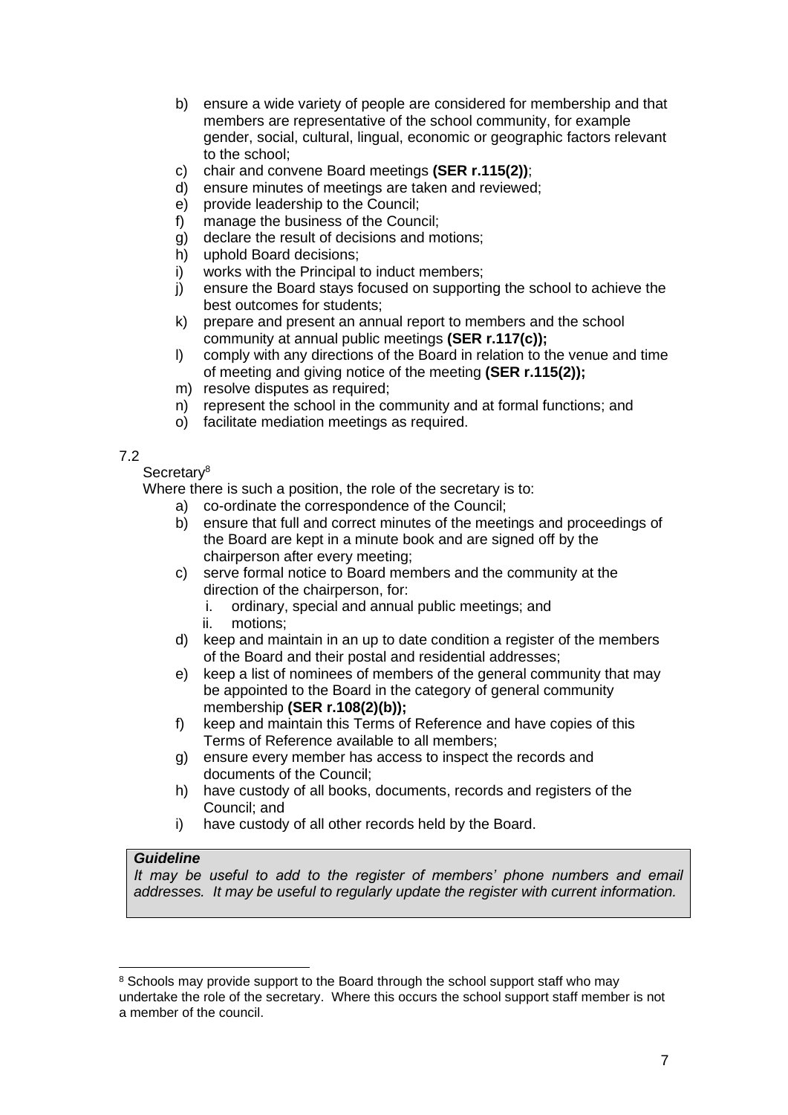- b) ensure a wide variety of people are considered for membership and that members are representative of the school community, for example gender, social, cultural, lingual, economic or geographic factors relevant to the school;
- c) chair and convene Board meetings **(SER r.115(2))**;
- d) ensure minutes of meetings are taken and reviewed;
- e) provide leadership to the Council;
- f) manage the business of the Council;
- g) declare the result of decisions and motions;
- h) uphold Board decisions;
- i) works with the Principal to induct members;
- j) ensure the Board stays focused on supporting the school to achieve the best outcomes for students;
- k) prepare and present an annual report to members and the school community at annual public meetings **(SER r.117(c));**
- l) comply with any directions of the Board in relation to the venue and time of meeting and giving notice of the meeting **(SER r.115(2));**
- m) resolve disputes as required;
- n) represent the school in the community and at formal functions; and
- o) facilitate mediation meetings as required.

### Secretary<sup>8</sup>

Where there is such a position, the role of the secretary is to:

- a) co-ordinate the correspondence of the Council;
- b) ensure that full and correct minutes of the meetings and proceedings of the Board are kept in a minute book and are signed off by the chairperson after every meeting;
- c) serve formal notice to Board members and the community at the direction of the chairperson, for:
	- i. ordinary, special and annual public meetings; and
	- ii. motions;
- d) keep and maintain in an up to date condition a register of the members of the Board and their postal and residential addresses;
- e) keep a list of nominees of members of the general community that may be appointed to the Board in the category of general community membership **(SER r.108(2)(b));**
- f) keep and maintain this Terms of Reference and have copies of this Terms of Reference available to all members;
- g) ensure every member has access to inspect the records and documents of the Council;
- h) have custody of all books, documents, records and registers of the Council; and
- i) have custody of all other records held by the Board.

### *Guideline*

It may be useful to add to the register of members' phone numbers and email *addresses. It may be useful to regularly update the register with current information.*

<sup>&</sup>lt;sup>8</sup> Schools may provide support to the Board through the school support staff who may undertake the role of the secretary. Where this occurs the school support staff member is not a member of the council.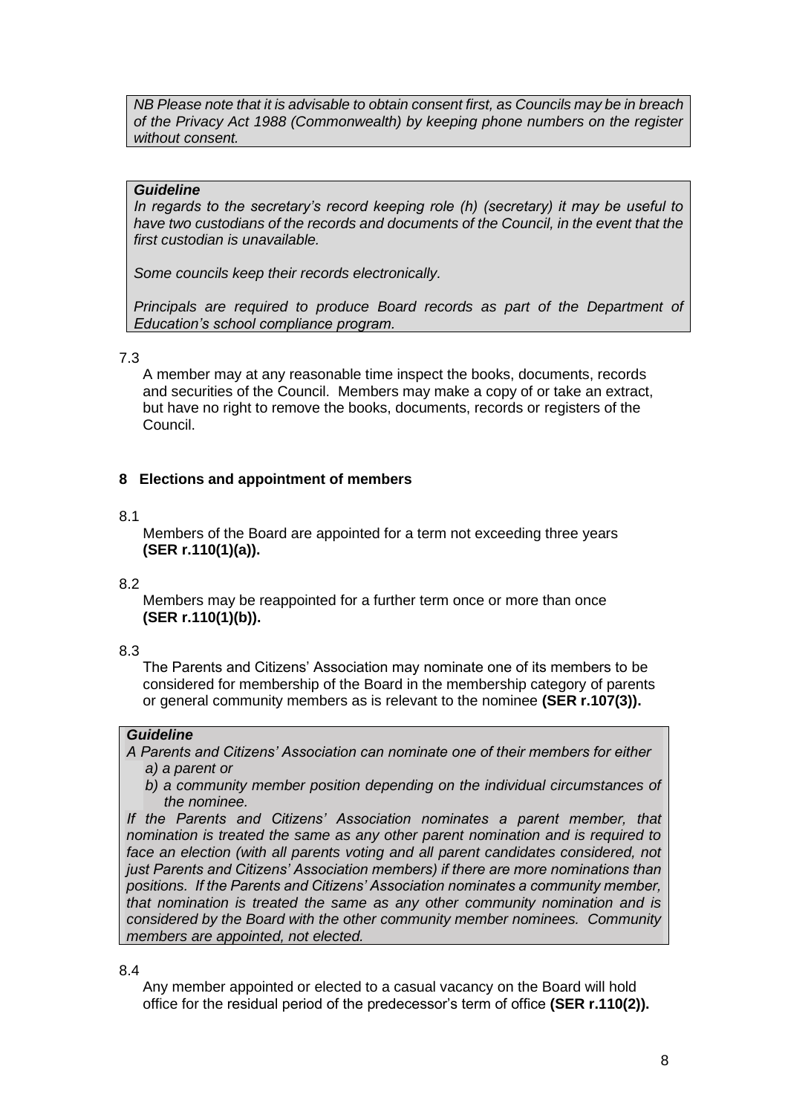*NB Please note that it is advisable to obtain consent first, as Councils may be in breach of the Privacy Act 1988 (Commonwealth) by keeping phone numbers on the register without consent.*

### *Guideline*

*In regards to the secretary's record keeping role (h) (secretary) it may be useful to*  have two custodians of the records and documents of the Council, in the event that the *first custodian is unavailable.* 

*Some councils keep their records electronically.* 

*Principals are required to produce Board records as part of the Department of Education's school compliance program.*

#### 7.3

A member may at any reasonable time inspect the books, documents, records and securities of the Council. Members may make a copy of or take an extract, but have no right to remove the books, documents, records or registers of the Council.

### <span id="page-7-0"></span>**8 Elections and appointment of members**

#### 8.1

Members of the Board are appointed for a term not exceeding three years **(SER r.110(1)(a)).**

#### 8.2

Members may be reappointed for a further term once or more than once **(SER r.110(1)(b)).** 

### 8.3

The Parents and Citizens' Association may nominate one of its members to be considered for membership of the Board in the membership category of parents or general community members as is relevant to the nominee **(SER r.107(3)).**

### *Guideline*

*A Parents and Citizens' Association can nominate one of their members for either a) a parent or* 

*b) a community member position depending on the individual circumstances of the nominee.* 

*If the Parents and Citizens' Association nominates a parent member, that nomination is treated the same as any other parent nomination and is required to*  face an election (with all parents voting and all parent candidates considered, not *just Parents and Citizens' Association members) if there are more nominations than positions. If the Parents and Citizens' Association nominates a community member, that nomination is treated the same as any other community nomination and is considered by the Board with the other community member nominees. Community members are appointed, not elected.*

8.4

Any member appointed or elected to a casual vacancy on the Board will hold office for the residual period of the predecessor's term of office **(SER r.110(2)).**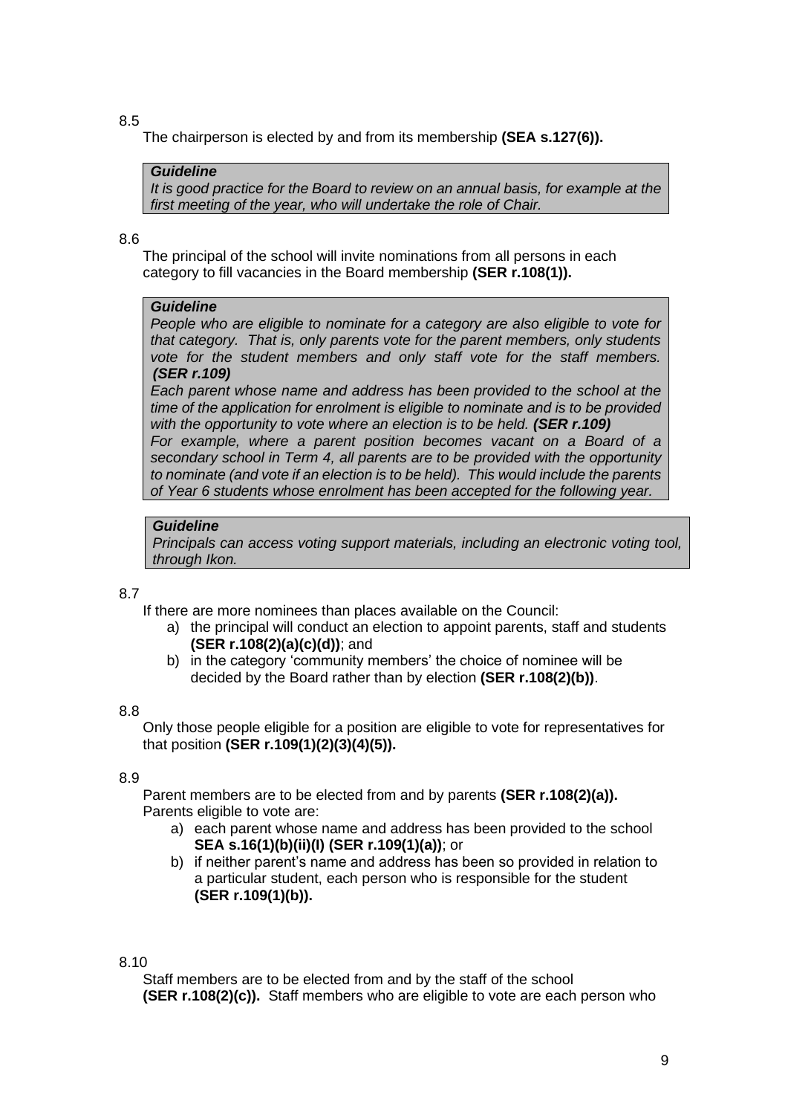The chairperson is elected by and from its membership **(SEA s.127(6)).**

#### *Guideline*

*It is good practice for the Board to review on an annual basis, for example at the first meeting of the year, who will undertake the role of Chair.*

#### 8.6

The principal of the school will invite nominations from all persons in each category to fill vacancies in the Board membership **(SER r.108(1)).**

#### *Guideline*

*People who are eligible to nominate for a category are also eligible to vote for that category. That is, only parents vote for the parent members, only students vote for the student members and only staff vote for the staff members. (SER r.109)*

*Each parent whose name and address has been provided to the school at the time of the application for enrolment is eligible to nominate and is to be provided with the opportunity to vote where an election is to be held. (SER r.109)* 

*For example, where a parent position becomes vacant on a Board of a secondary school in Term 4, all parents are to be provided with the opportunity to nominate (and vote if an election is to be held). This would include the parents of Year 6 students whose enrolment has been accepted for the following year.*

### *Guideline*

*Principals can access voting support materials, including an electronic voting tool, through Ikon.*

### 8.7

If there are more nominees than places available on the Council:

- a) the principal will conduct an election to appoint parents, staff and students **(SER r.108(2)(a)(c)(d))**; and
- b) in the category 'community members' the choice of nominee will be decided by the Board rather than by election **(SER r.108(2)(b))**.

#### 8.8

Only those people eligible for a position are eligible to vote for representatives for that position **(SER r.109(1)(2)(3)(4)(5)).**

#### 8.9

Parent members are to be elected from and by parents **(SER r.108(2)(a)).** Parents eligible to vote are:

- a) each parent whose name and address has been provided to the school **SEA s.16(1)(b)(ii)(I) (SER r.109(1)(a))**; or
- b) if neither parent's name and address has been so provided in relation to a particular student, each person who is responsible for the student **(SER r.109(1)(b)).**

8.10

Staff members are to be elected from and by the staff of the school **(SER r.108(2)(c)).** Staff members who are eligible to vote are each person who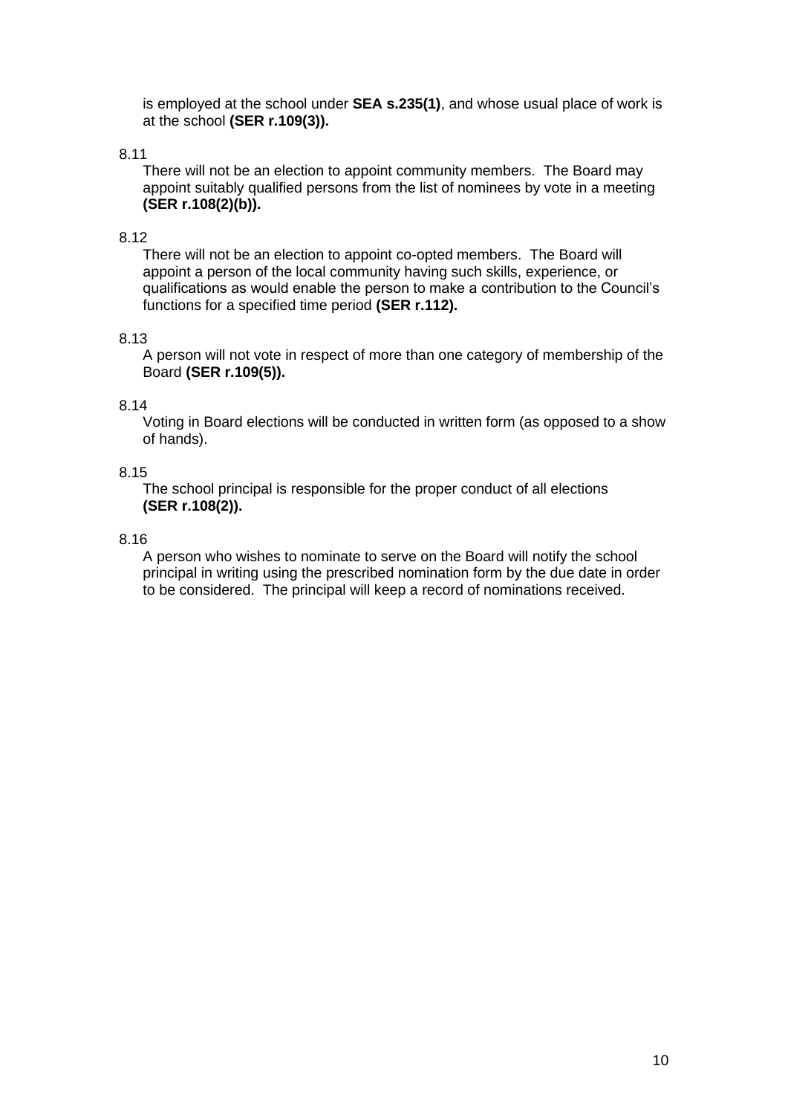is employed at the school under **SEA s.235(1)**, and whose usual place of work is at the school **(SER r.109(3)).**

### 8.11

There will not be an election to appoint community members. The Board may appoint suitably qualified persons from the list of nominees by vote in a meeting **(SER r.108(2)(b)).**

#### 8.12

There will not be an election to appoint co-opted members. The Board will appoint a person of the local community having such skills, experience, or qualifications as would enable the person to make a contribution to the Council's functions for a specified time period **(SER r.112).**

#### 8.13

A person will not vote in respect of more than one category of membership of the Board **(SER r.109(5)).** 

#### 8.14

Voting in Board elections will be conducted in written form (as opposed to a show of hands).

#### 8.15

The school principal is responsible for the proper conduct of all elections **(SER r.108(2)).**

#### 8.16

A person who wishes to nominate to serve on the Board will notify the school principal in writing using the prescribed nomination form by the due date in order to be considered. The principal will keep a record of nominations received.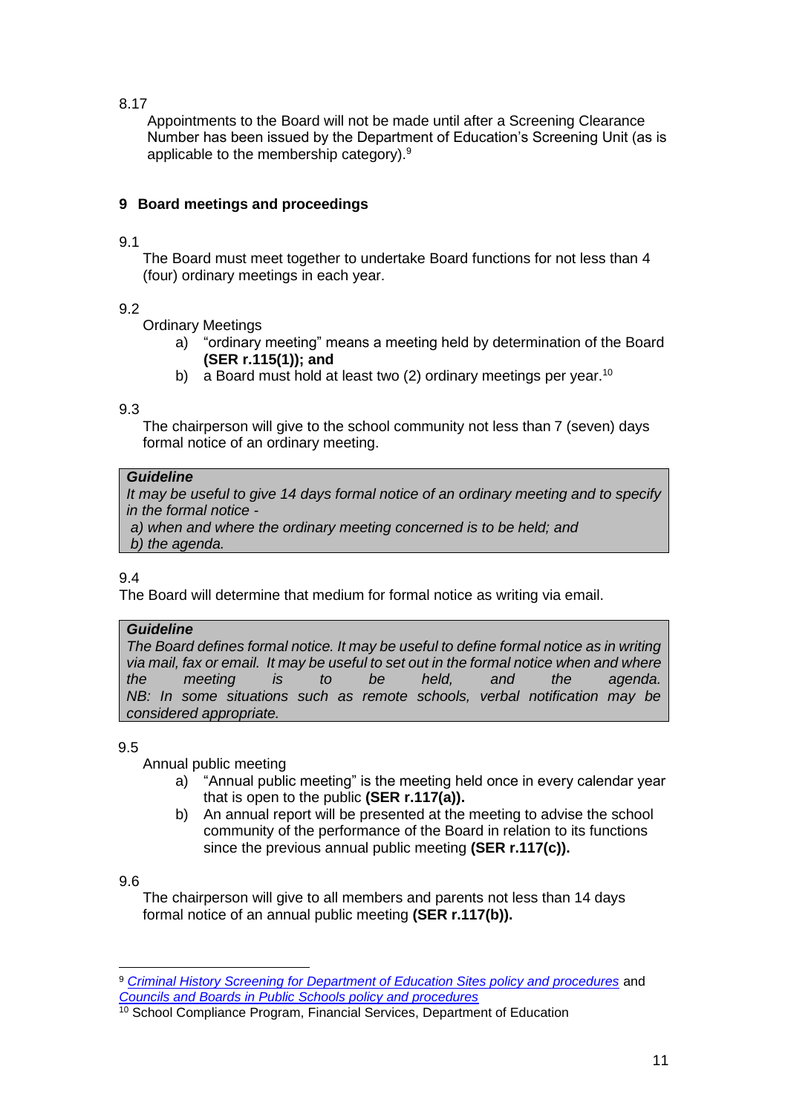Appointments to the Board will not be made until after a Screening Clearance Number has been issued by the Department of Education's Screening Unit (as is applicable to the membership category).<sup>9</sup>

# <span id="page-10-0"></span>**9 Board meetings and proceedings**

### 9.1

The Board must meet together to undertake Board functions for not less than 4 (four) ordinary meetings in each year.

# 9.2

Ordinary Meetings

- a) "ordinary meeting" means a meeting held by determination of the Board **(SER r.115(1)); and**
- b) a Board must hold at least two (2) ordinary meetings per year.<sup>10</sup>

## 9.3

The chairperson will give to the school community not less than 7 (seven) days formal notice of an ordinary meeting.

# *Guideline*

*It may be useful to give 14 days formal notice of an ordinary meeting and to specify in the formal notice -*

*a) a) when and where the ordinary meeting concerned is to be held; and* b) *b) the agenda.*

9.4

The Board will determine that medium for formal notice as writing via email.

# *Guideline*

*The Board defines formal notice. It may be useful to define formal notice as in writing via mail, fax or email. It may be useful to set out in the formal notice when and where the meeting is to be held, and the agenda. NB: In some situations such as remote schools, verbal notification may be considered appropriate.*

9.5

Annual public meeting

- a) "Annual public meeting" is the meeting held once in every calendar year that is open to the public **(SER r.117(a)).**
- b) An annual report will be presented at the meeting to advise the school community of the performance of the Board in relation to its functions since the previous annual public meeting **(SER r.117(c)).**

## 9.6

The chairperson will give to all members and parents not less than 14 days formal notice of an annual public meeting **(SER r.117(b)).**

<sup>9</sup> *[Criminal History Screening for Department of Education Sites policy and procedures](http://det.wa.edu.au/policies/detcms/policy-planning-and-accountability/policies-framework/policies/criminal-history-screening-for-department-of-education-sites-policy-and-procedures.en?cat-id=3457995)* and *[Councils and Boards in Public Schools policy and procedures](http://det.wa.edu.au/policies/detcms/policy-planning-and-accountability/policies-framework/policies/councils-and-boards-policy.en?cat-id=3458015)*

<sup>&</sup>lt;sup>10</sup> School Compliance Program, Financial Services, Department of Education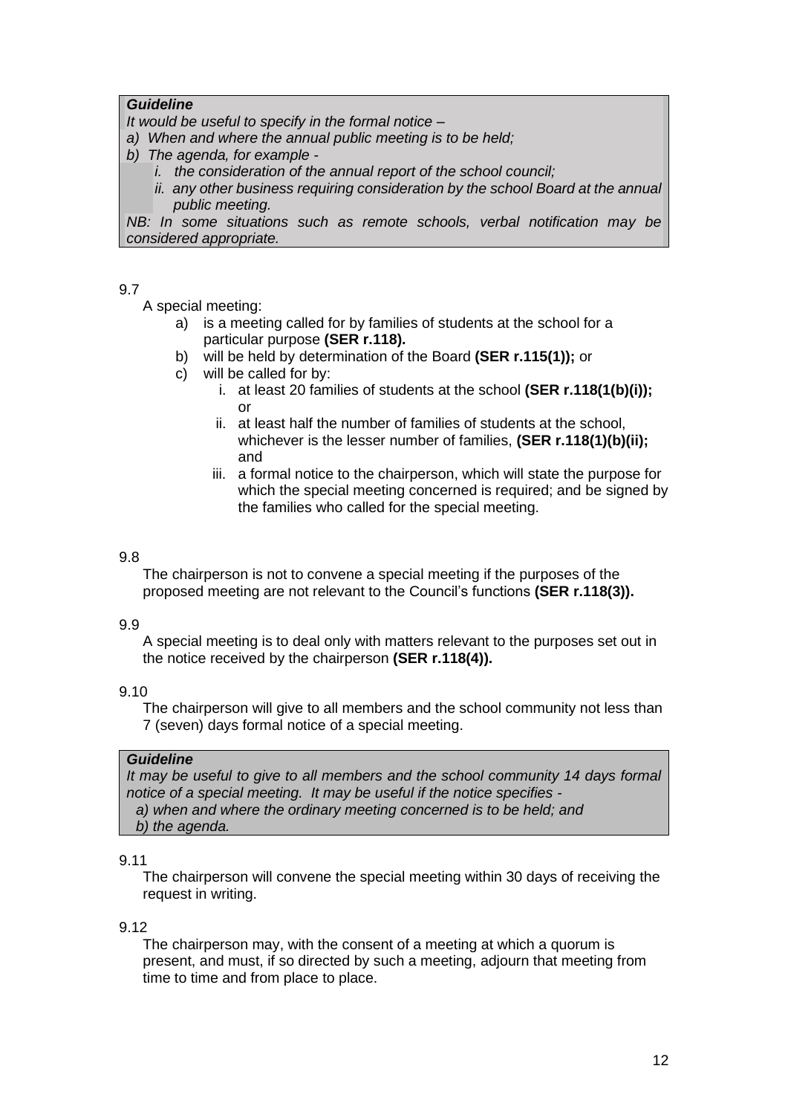### *Guideline*

*It would be useful to specify in the formal notice –*

- a) *a) When and where the annual public meeting is to be held;*
- b) *b) The agenda, for example* 
	- *i. the consideration of the annual report of the school council;*
	- *ii. any other business requiring consideration by the school Board at the annual public meeting.*

*NB: In some situations such as remote schools, verbal notification may be considered appropriate.*

### 9.7

A special meeting:

- a) is a meeting called for by families of students at the school for a particular purpose **(SER r.118).**
- b) will be held by determination of the Board **(SER r.115(1));** or
- c) will be called for by:
	- i. at least 20 families of students at the school **(SER r.118(1(b)(i));**   $\alpha$ r
	- ii. at least half the number of families of students at the school, whichever is the lesser number of families, **(SER r.118(1)(b)(ii);** and
	- iii. a formal notice to the chairperson, which will state the purpose for which the special meeting concerned is required; and be signed by the families who called for the special meeting.

### 9.8

The chairperson is not to convene a special meeting if the purposes of the proposed meeting are not relevant to the Council's functions **(SER r.118(3)).**

### 9.9

A special meeting is to deal only with matters relevant to the purposes set out in the notice received by the chairperson **(SER r.118(4)).**

### 9.10

The chairperson will give to all members and the school community not less than 7 (seven) days formal notice of a special meeting.

### *Guideline*

*It may be useful to give to all members and the school community 14 days formal notice of a special meeting. It may be useful if the notice specifies a) when and where the ordinary meeting concerned is to be held; and b) the agenda.*

### 9.11

The chairperson will convene the special meeting within 30 days of receiving the request in writing.

### 9.12

The chairperson may, with the consent of a meeting at which a quorum is present, and must, if so directed by such a meeting, adjourn that meeting from time to time and from place to place.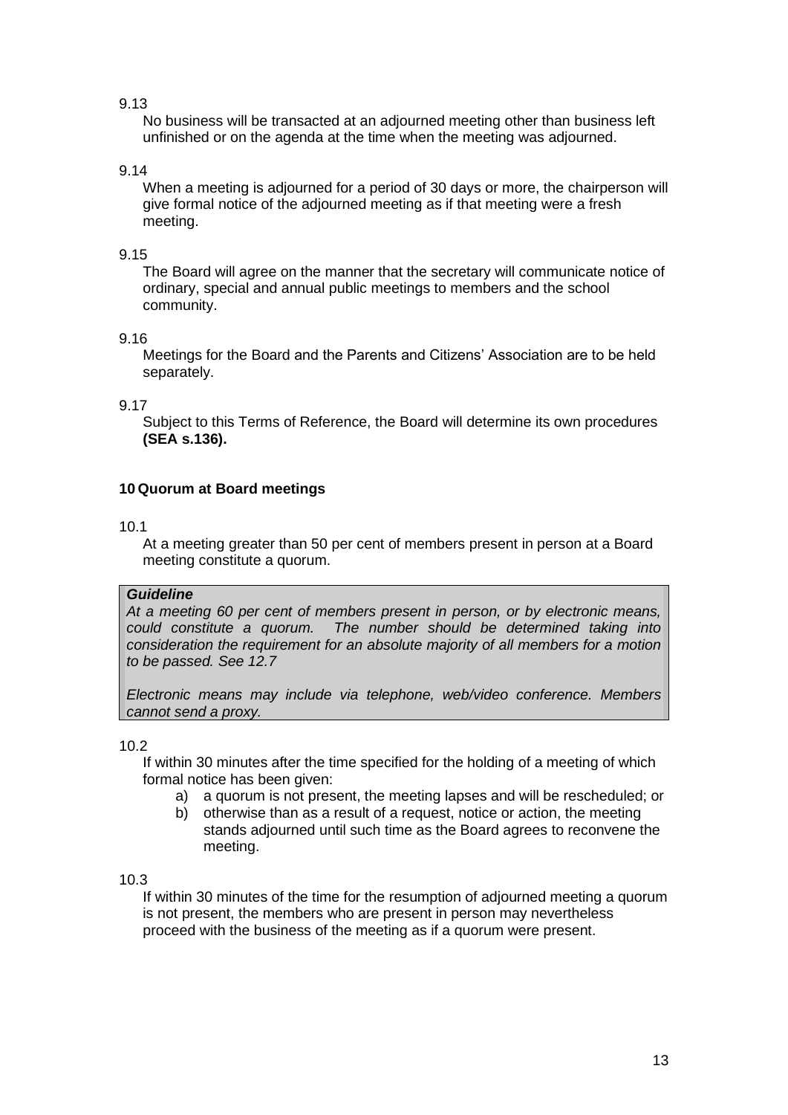No business will be transacted at an adjourned meeting other than business left unfinished or on the agenda at the time when the meeting was adjourned.

### 9.14

When a meeting is adjourned for a period of 30 days or more, the chairperson will give formal notice of the adjourned meeting as if that meeting were a fresh meeting.

### 9.15

The Board will agree on the manner that the secretary will communicate notice of ordinary, special and annual public meetings to members and the school community.

### 9.16

Meetings for the Board and the Parents and Citizens' Association are to be held separately.

### 9.17

Subject to this Terms of Reference, the Board will determine its own procedures **(SEA s.136).** 

## <span id="page-12-0"></span>**10 Quorum at Board meetings**

### 10.1

At a meeting greater than 50 per cent of members present in person at a Board meeting constitute a quorum.

### *Guideline*

*At a meeting 60 per cent of members present in person, or by electronic means, could constitute a quorum. The number should be determined taking into consideration the requirement for an absolute majority of all members for a motion to be passed. See 12.7*

*Electronic means may include via telephone, web/video conference. Members cannot send a proxy.*

### 10.2

If within 30 minutes after the time specified for the holding of a meeting of which formal notice has been given:

- a) a quorum is not present, the meeting lapses and will be rescheduled; or
- b) otherwise than as a result of a request, notice or action, the meeting stands adjourned until such time as the Board agrees to reconvene the meeting.

### 10.3

If within 30 minutes of the time for the resumption of adjourned meeting a quorum is not present, the members who are present in person may nevertheless proceed with the business of the meeting as if a quorum were present.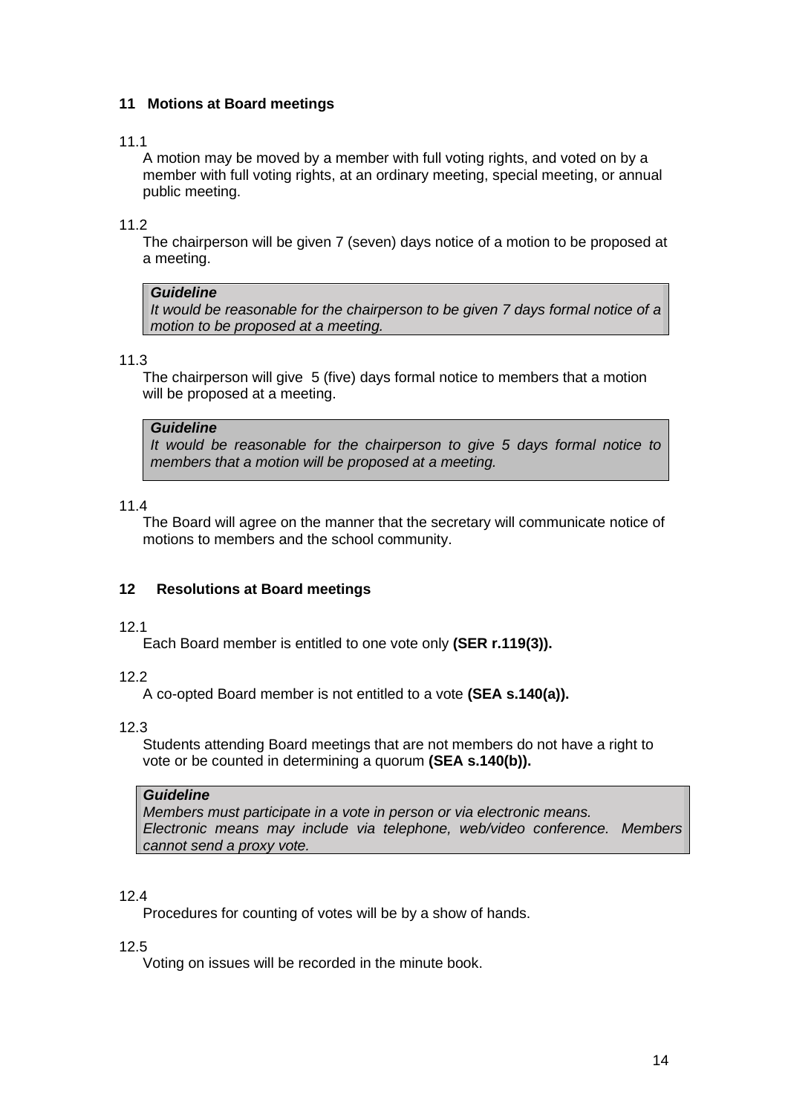## <span id="page-13-0"></span>**11 Motions at Board meetings**

### 11.1

A motion may be moved by a member with full voting rights, and voted on by a member with full voting rights, at an ordinary meeting, special meeting, or annual public meeting.

11.2

The chairperson will be given 7 (seven) days notice of a motion to be proposed at a meeting.

### *Guideline*

*It would be reasonable for the chairperson to be given 7 days formal notice of a motion to be proposed at a meeting.*

### 11.3

The chairperson will give 5 (five) days formal notice to members that a motion will be proposed at a meeting.

### *Guideline*

*It would be reasonable for the chairperson to give 5 days formal notice to members that a motion will be proposed at a meeting.*

### 11.4

The Board will agree on the manner that the secretary will communicate notice of motions to members and the school community.

## <span id="page-13-1"></span>**12 Resolutions at Board meetings**

### 12.1

Each Board member is entitled to one vote only **(SER r.119(3)).**

## 12.2

A co-opted Board member is not entitled to a vote **(SEA s.140(a)).**

# 12.3

Students attending Board meetings that are not members do not have a right to vote or be counted in determining a quorum **(SEA s.140(b)).**

### *Guideline*

*Members must participate in a vote in person or via electronic means. Electronic means may include via telephone, web/video conference. Members cannot send a proxy vote.*

### 12.4

Procedures for counting of votes will be by a show of hands.

### 12.5

Voting on issues will be recorded in the minute book.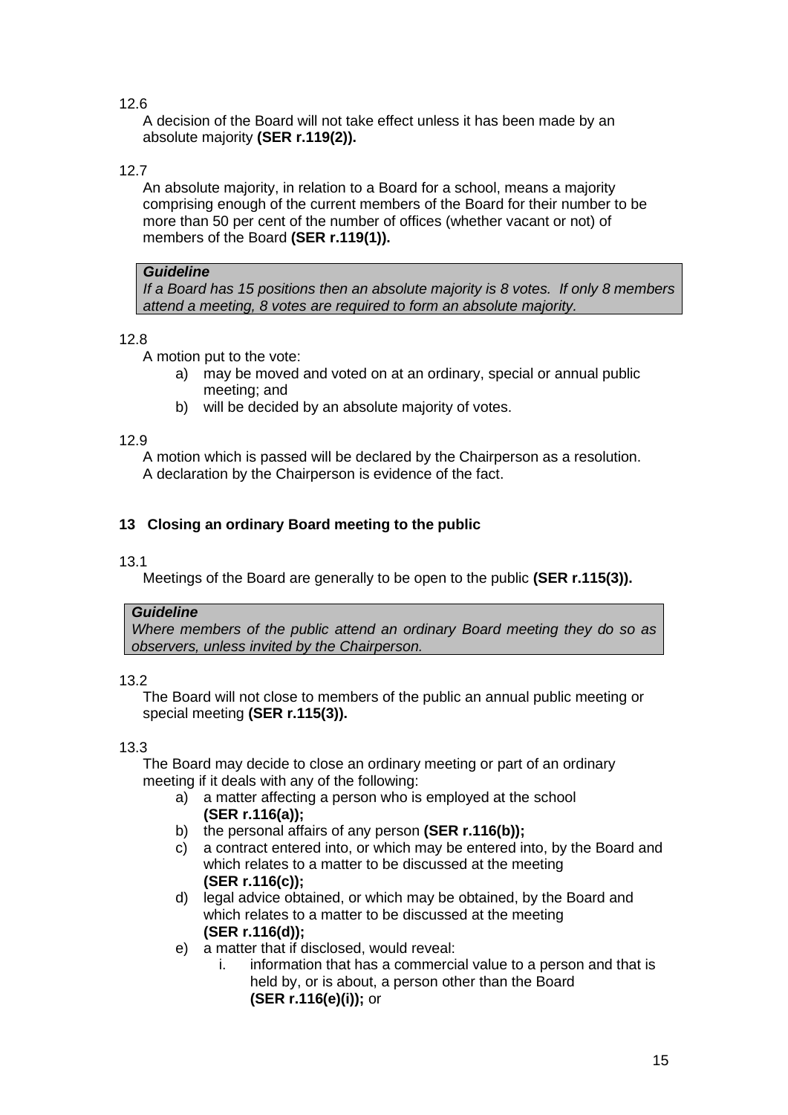A decision of the Board will not take effect unless it has been made by an absolute majority **(SER r.119(2)).**

# 12.7

An absolute majority, in relation to a Board for a school, means a majority comprising enough of the current members of the Board for their number to be more than 50 per cent of the number of offices (whether vacant or not) of members of the Board **(SER r.119(1)).**

### *Guideline*

*If a Board has 15 positions then an absolute majority is 8 votes. If only 8 members attend a meeting, 8 votes are required to form an absolute majority.*

## 12.8

A motion put to the vote:

- a) may be moved and voted on at an ordinary, special or annual public meeting; and
- b) will be decided by an absolute majority of votes.

## 12.9

A motion which is passed will be declared by the Chairperson as a resolution. A declaration by the Chairperson is evidence of the fact.

# <span id="page-14-0"></span>**13 Closing an ordinary Board meeting to the public**

### 13.1

Meetings of the Board are generally to be open to the public **(SER r.115(3)).**

## *Guideline*

*Where members of the public attend an ordinary Board meeting they do so as observers, unless invited by the Chairperson.*

## 13.2

The Board will not close to members of the public an annual public meeting or special meeting **(SER r.115(3)).**

## 13.3

The Board may decide to close an ordinary meeting or part of an ordinary meeting if it deals with any of the following:

- a) a matter affecting a person who is employed at the school **(SER r.116(a));**
- b) the personal affairs of any person **(SER r.116(b));**
- c) a contract entered into, or which may be entered into, by the Board and which relates to a matter to be discussed at the meeting **(SER r.116(c));**
- d) legal advice obtained, or which may be obtained, by the Board and which relates to a matter to be discussed at the meeting **(SER r.116(d));**
- e) a matter that if disclosed, would reveal:
	- i. information that has a commercial value to a person and that is held by, or is about, a person other than the Board **(SER r.116(e)(i));** or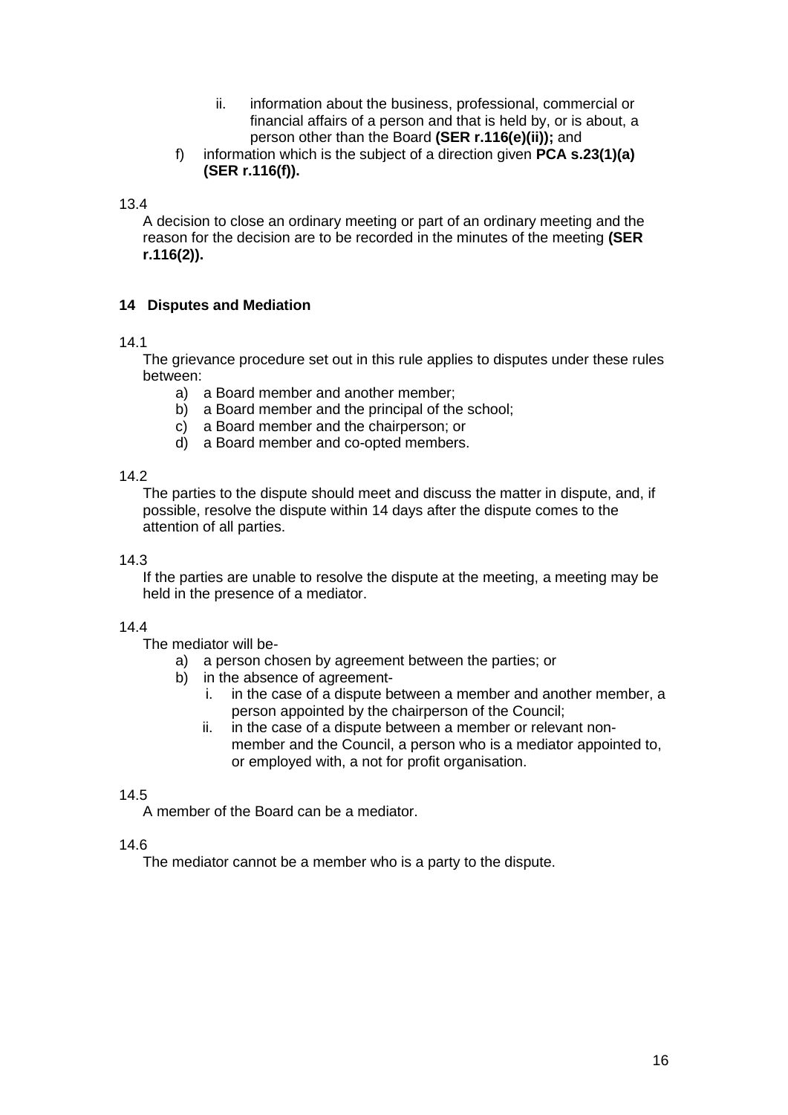- ii. information about the business, professional, commercial or financial affairs of a person and that is held by, or is about, a person other than the Board **(SER r.116(e)(ii));** and
- f) information which is the subject of a direction given **PCA s.23(1)(a) (SER r.116(f)).**

A decision to close an ordinary meeting or part of an ordinary meeting and the reason for the decision are to be recorded in the minutes of the meeting **(SER r.116(2)).**

## <span id="page-15-0"></span>**14 Disputes and Mediation**

### 14.1

The grievance procedure set out in this rule applies to disputes under these rules between:

- a) a Board member and another member;
- b) a Board member and the principal of the school;
- c) a Board member and the chairperson; or
- d) a Board member and co-opted members.

### 14.2

The parties to the dispute should meet and discuss the matter in dispute, and, if possible, resolve the dispute within 14 days after the dispute comes to the attention of all parties.

### 14.3

If the parties are unable to resolve the dispute at the meeting, a meeting may be held in the presence of a mediator.

# 14.4

The mediator will be-

- a) a person chosen by agreement between the parties; or
- b) in the absence of agreement
	- i. in the case of a dispute between a member and another member, a person appointed by the chairperson of the Council;
	- ii. in the case of a dispute between a member or relevant nonmember and the Council, a person who is a mediator appointed to, or employed with, a not for profit organisation.

## 14.5

A member of the Board can be a mediator.

### 14.6

The mediator cannot be a member who is a party to the dispute.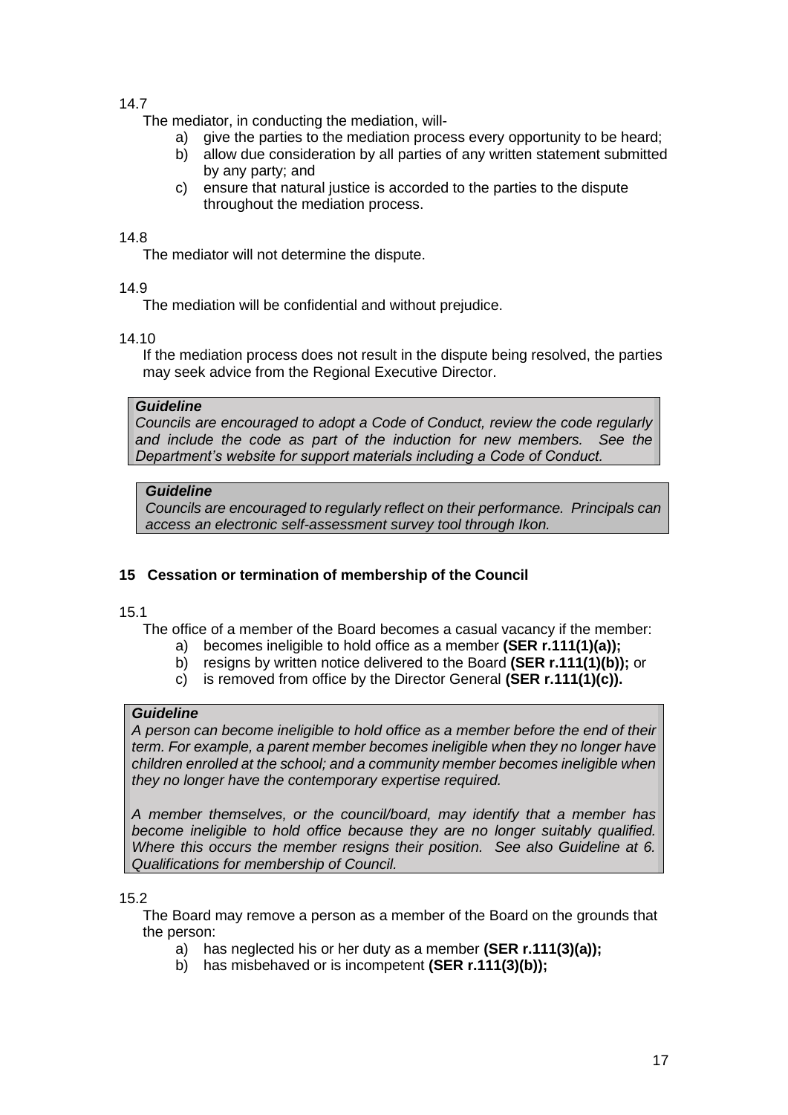The mediator, in conducting the mediation, will-

- a) give the parties to the mediation process every opportunity to be heard;
- b) allow due consideration by all parties of any written statement submitted by any party; and
- c) ensure that natural justice is accorded to the parties to the dispute throughout the mediation process.

### 14.8

The mediator will not determine the dispute.

### 14.9

The mediation will be confidential and without prejudice.

### 14.10

If the mediation process does not result in the dispute being resolved, the parties may seek advice from the Regional Executive Director.

### *Guideline*

*Councils are encouraged to adopt a Code of Conduct, review the code regularly and include the code as part of the induction for new members. See the Department's website for support materials including a Code of Conduct.*

## *Guideline*

*Councils are encouraged to regularly reflect on their performance. Principals can access an electronic self-assessment survey tool through Ikon.*

## <span id="page-16-0"></span>**15 Cessation or termination of membership of the Council**

## 15.1

The office of a member of the Board becomes a casual vacancy if the member:

- a) becomes ineligible to hold office as a member **(SER r.111(1)(a));**
- b) resigns by written notice delivered to the Board **(SER r.111(1)(b));** or
- c) is removed from office by the Director General **(SER r.111(1)(c)).**

## *Guideline*

*A person can become ineligible to hold office as a member before the end of their term. For example, a parent member becomes ineligible when they no longer have children enrolled at the school; and a community member becomes ineligible when they no longer have the contemporary expertise required.*

*A member themselves, or the council/board, may identify that a member has become ineligible to hold office because they are no longer suitably qualified. Where this occurs the member resigns their position. See also Guideline at 6. Qualifications for membership of Council.*

## 15.2

The Board may remove a person as a member of the Board on the grounds that the person:

- a) has neglected his or her duty as a member **(SER r.111(3)(a));**
- b) has misbehaved or is incompetent **(SER r.111(3)(b));**